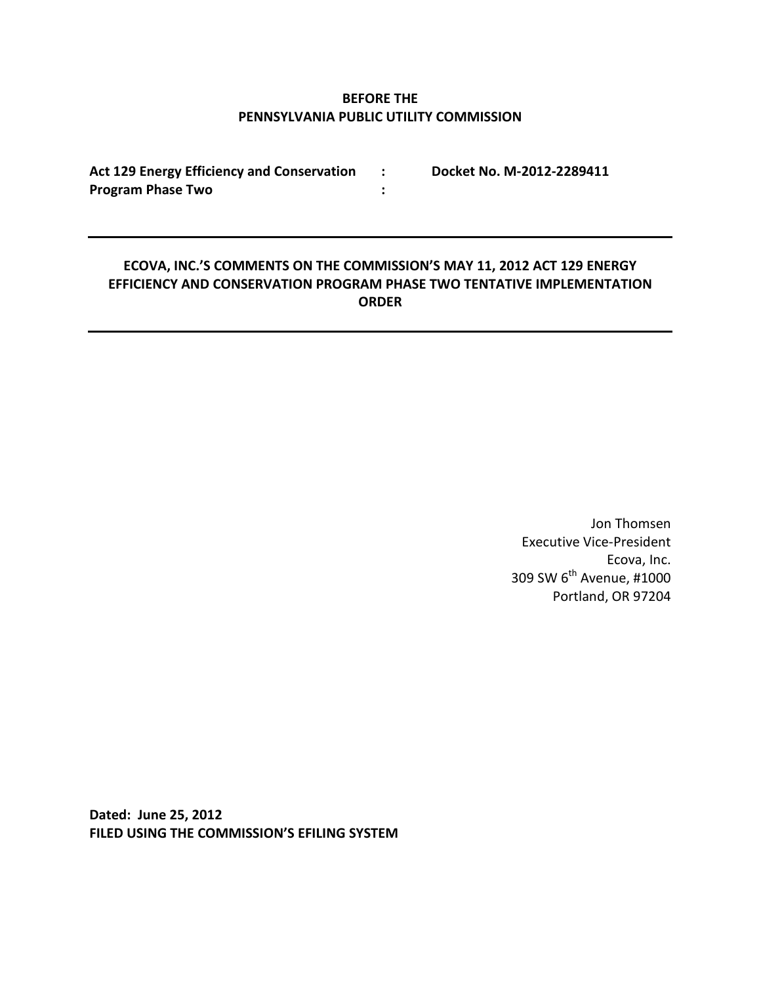# **BEFORE THE PENNSYLVANIA PUBLIC UTILITY COMMISSION**

**:**

**Act 129 Energy Efficiency and Conservation : Docket No. M-2012-2289411 Program Phase Two**

# **ECOVA, INC.'S COMMENTS ON THE COMMISSION'S MAY 11, 2012 ACT 129 ENERGY EFFICIENCY AND CONSERVATION PROGRAM PHASE TWO TENTATIVE IMPLEMENTATION ORDER**

Jon Thomsen Executive Vice-President Ecova, Inc. 309 SW 6<sup>th</sup> Avenue, #1000 Portland, OR 97204

**Dated: June 25, 2012 FILED USING THE COMMISSION'S EFILING SYSTEM**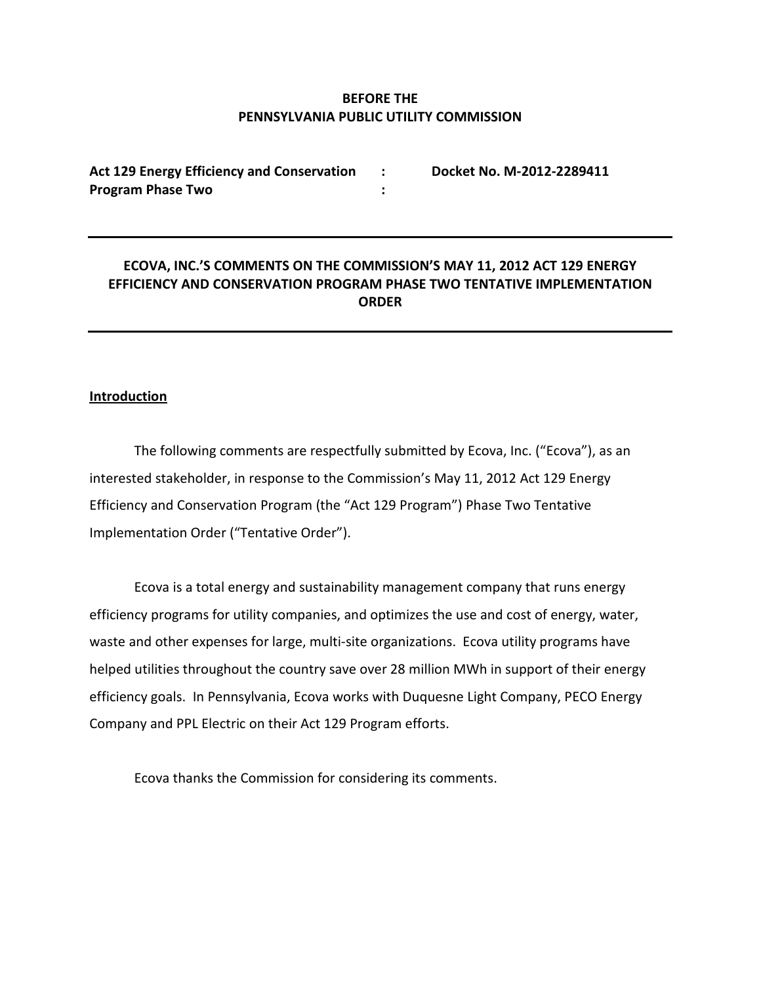# **BEFORE THE PENNSYLVANIA PUBLIC UTILITY COMMISSION**

**: :**

**Act 129 Energy Efficiency and Conservation Program Phase Two**

**Docket No. M-2012-2289411**

# **ECOVA, INC.'S COMMENTS ON THE COMMISSION'S MAY 11, 2012 ACT 129 ENERGY EFFICIENCY AND CONSERVATION PROGRAM PHASE TWO TENTATIVE IMPLEMENTATION ORDER**

### **Introduction**

The following comments are respectfully submitted by Ecova, Inc. ("Ecova"), as an interested stakeholder, in response to the Commission's May 11, 2012 Act 129 Energy Efficiency and Conservation Program (the "Act 129 Program") Phase Two Tentative Implementation Order ("Tentative Order").

Ecova is a total energy and sustainability management company that runs energy efficiency programs for utility companies, and optimizes the use and cost of energy, water, waste and other expenses for large, multi-site organizations. Ecova utility programs have helped utilities throughout the country save over 28 million MWh in support of their energy efficiency goals. In Pennsylvania, Ecova works with Duquesne Light Company, PECO Energy Company and PPL Electric on their Act 129 Program efforts.

Ecova thanks the Commission for considering its comments.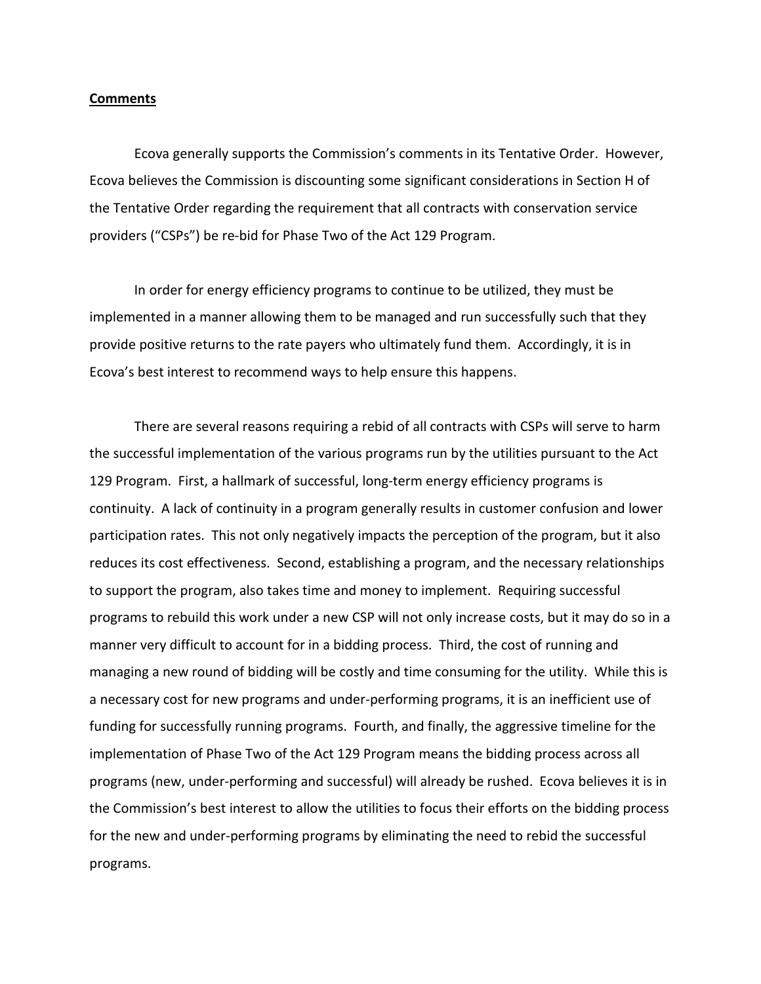#### **Comments**

Ecova generally supports the Commission's comments in its Tentative Order. However, Ecova believes the Commission is discounting some significant considerations in Section H of the Tentative Order regarding the requirement that all contracts with conservation service providers ("CSPs") be re-bid for Phase Two of the Act 129 Program.

In order for energy efficiency programs to continue to be utilized, they must be implemented in a manner allowing them to be managed and run successfully such that they provide positive returns to the rate payers who ultimately fund them. Accordingly, it is in Ecova's best interest to recommend ways to help ensure this happens.

There are several reasons requiring a rebid of all contracts with CSPs will serve to harm the successful implementation of the various programs run by the utilities pursuant to the Act 129 Program. First, a hallmark of successful, long-term energy efficiency programs is continuity. A lack of continuity in a program generally results in customer confusion and lower participation rates. This not only negatively impacts the perception of the program, but it also reduces its cost effectiveness. Second, establishing a program, and the necessary relationships to support the program, also takes time and money to implement. Requiring successful programs to rebuild this work under a new CSP will not only increase costs, but it may do so in a manner very difficult to account for in a bidding process. Third, the cost of running and managing a new round of bidding will be costly and time consuming for the utility. While this is a necessary cost for new programs and under-performing programs, it is an inefficient use of funding for successfully running programs. Fourth, and finally, the aggressive timeline for the implementation of Phase Two of the Act 129 Program means the bidding process across all programs (new, under-performing and successful) will already be rushed. Ecova believes it is in the Commission's best interest to allow the utilities to focus their efforts on the bidding process for the new and under-performing programs by eliminating the need to rebid the successful programs.